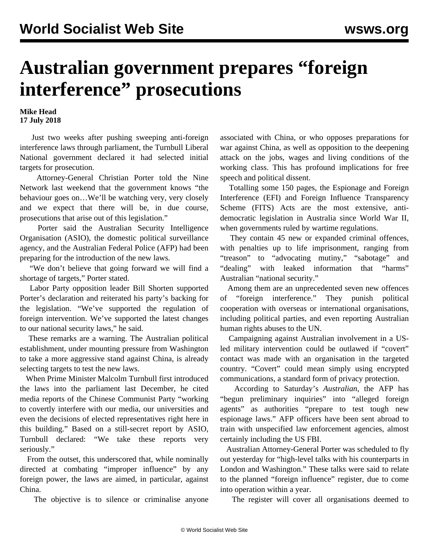## **Australian government prepares "foreign interference" prosecutions**

**Mike Head 17 July 2018**

 Just two weeks after pushing sweeping anti-foreign interference laws through parliament, the Turnbull Liberal National government declared it had selected initial targets for prosecution.

 Attorney-General Christian Porter told the Nine Network last weekend that the government knows "the behaviour goes on…We'll be watching very, very closely and we expect that there will be, in due course, prosecutions that arise out of this legislation."

 Porter said the Australian Security Intelligence Organisation (ASIO), the domestic political surveillance agency, and the Australian Federal Police (AFP) had been preparing for the introduction of the new laws.

 "We don't believe that going forward we will find a shortage of targets," Porter stated.

 Labor Party opposition leader Bill Shorten supported Porter's declaration and reiterated his party's backing for the legislation. "We've supported the regulation of foreign intervention. We've supported the latest changes to our national security laws," he said.

 These remarks are a warning. The Australian political establishment, under mounting pressure from Washington to take a more aggressive stand against China, is already selecting targets to test the new laws.

 When Prime Minister Malcolm Turnbull first introduced the laws into the parliament last December, he cited media reports of the Chinese Communist Party "working to covertly interfere with our media, our universities and even the decisions of elected representatives right here in this building." Based on a still-secret report by ASIO, Turnbull declared: "We take these reports very seriously."

 From the outset, this underscored that, while nominally directed at combating "improper influence" by any foreign power, the laws are aimed, in particular, against China.

The objective is to silence or criminalise anyone

associated with China, or who opposes preparations for war against China, as well as opposition to the deepening attack on the jobs, wages and living conditions of the working class. This has profound implications for free speech and political dissent.

 Totalling some 150 pages, the Espionage and Foreign Interference (EFI) and Foreign Influence Transparency Scheme (FITS) Acts are the most extensive, antidemocratic legislation in Australia since World War II, when governments ruled by wartime regulations.

 They contain 45 new or expanded criminal offences, with penalties up to life imprisonment, ranging from "treason" to "advocating mutiny," "sabotage" and "dealing" with leaked information that "harms" Australian "national security."

 Among them are an unprecedented seven new offences of "foreign interference." They punish political cooperation with overseas or international organisations, including political parties, and even reporting Australian human rights abuses to the UN.

 Campaigning against Australian involvement in a USled military intervention could be outlawed if "covert" contact was made with an organisation in the targeted country. "Covert" could mean simply using encrypted communications, a standard form of privacy protection.

 According to Saturday's *Australian*, the AFP has "begun preliminary inquiries" into "alleged foreign agents" as authorities "prepare to test tough new espionage laws." AFP officers have been sent abroad to train with unspecified law enforcement agencies, almost certainly including the US FBI.

 Australian Attorney-General Porter was scheduled to fly out yesterday for "high-level talks with his counterparts in London and Washington." These talks were said to relate to the planned "foreign influence" register, due to come into operation within a year.

The register will cover all organisations deemed to